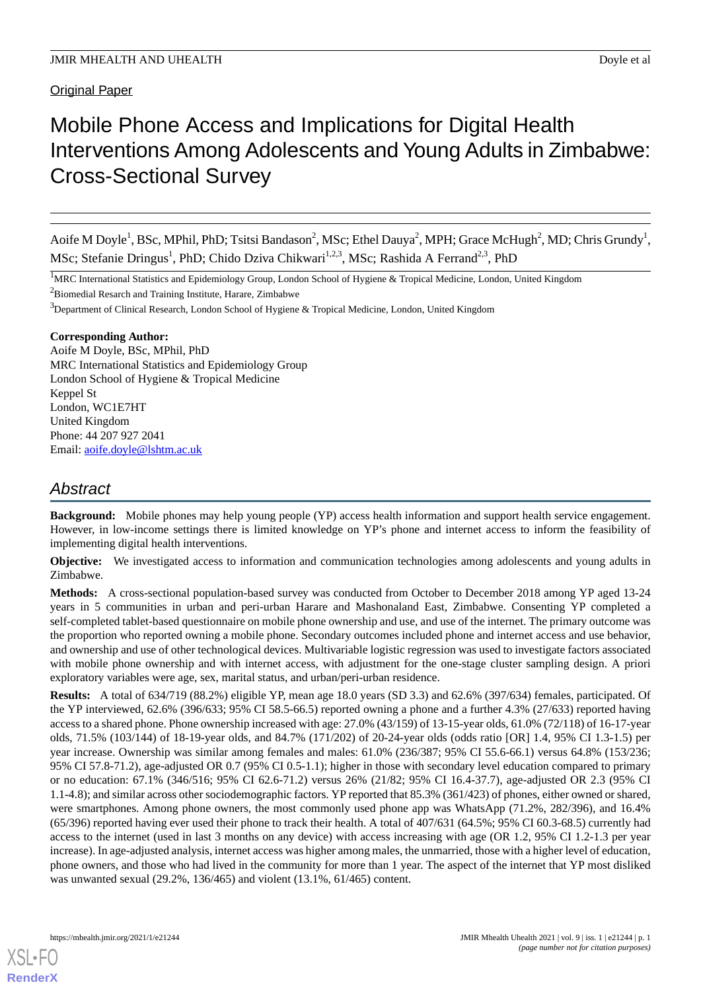# Mobile Phone Access and Implications for Digital Health Interventions Among Adolescents and Young Adults in Zimbabwe: Cross-Sectional Survey

Aoife M Doyle<sup>1</sup>, BSc, MPhil, PhD; Tsitsi Bandason<sup>2</sup>, MSc; Ethel Dauya<sup>2</sup>, MPH; Grace McHugh<sup>2</sup>, MD; Chris Grundy<sup>1</sup>, MSc; Stefanie Dringus<sup>1</sup>, PhD; Chido Dziva Chikwari<sup>1,2,3</sup>, MSc; Rashida A Ferrand<sup>2,3</sup>, PhD

<sup>1</sup>MRC International Statistics and Epidemiology Group, London School of Hygiene & Tropical Medicine, London, United Kingdom

 $2B$ iomedial Resarch and Training Institute, Harare, Zimbabwe

<sup>3</sup>Department of Clinical Research, London School of Hygiene & Tropical Medicine, London, United Kingdom

### **Corresponding Author:**

Aoife M Doyle, BSc, MPhil, PhD MRC International Statistics and Epidemiology Group London School of Hygiene & Tropical Medicine Keppel St London, WC1E7HT United Kingdom Phone: 44 207 927 2041 Email: [aoife.doyle@lshtm.ac.uk](mailto:aoife.doyle@lshtm.ac.uk)

# *Abstract*

**Background:** Mobile phones may help young people (YP) access health information and support health service engagement. However, in low-income settings there is limited knowledge on YP's phone and internet access to inform the feasibility of implementing digital health interventions.

**Objective:** We investigated access to information and communication technologies among adolescents and young adults in Zimbabwe.

**Methods:** A cross-sectional population-based survey was conducted from October to December 2018 among YP aged 13-24 years in 5 communities in urban and peri-urban Harare and Mashonaland East, Zimbabwe. Consenting YP completed a self-completed tablet-based questionnaire on mobile phone ownership and use, and use of the internet. The primary outcome was the proportion who reported owning a mobile phone. Secondary outcomes included phone and internet access and use behavior, and ownership and use of other technological devices. Multivariable logistic regression was used to investigate factors associated with mobile phone ownership and with internet access, with adjustment for the one-stage cluster sampling design. A priori exploratory variables were age, sex, marital status, and urban/peri-urban residence.

**Results:** A total of 634/719 (88.2%) eligible YP, mean age 18.0 years (SD 3.3) and 62.6% (397/634) females, participated. Of the YP interviewed, 62.6% (396/633; 95% CI 58.5-66.5) reported owning a phone and a further 4.3% (27/633) reported having access to a shared phone. Phone ownership increased with age: 27.0% (43/159) of 13-15-year olds, 61.0% (72/118) of 16-17-year olds, 71.5% (103/144) of 18-19-year olds, and 84.7% (171/202) of 20-24-year olds (odds ratio [OR] 1.4, 95% CI 1.3-1.5) per year increase. Ownership was similar among females and males: 61.0% (236/387; 95% CI 55.6-66.1) versus 64.8% (153/236; 95% CI 57.8-71.2), age-adjusted OR 0.7 (95% CI 0.5-1.1); higher in those with secondary level education compared to primary or no education: 67.1% (346/516; 95% CI 62.6-71.2) versus 26% (21/82; 95% CI 16.4-37.7), age-adjusted OR 2.3 (95% CI 1.1-4.8); and similar across other sociodemographic factors. YP reported that 85.3% (361/423) of phones, either owned or shared, were smartphones. Among phone owners, the most commonly used phone app was WhatsApp (71.2%, 282/396), and 16.4% (65/396) reported having ever used their phone to track their health. A total of 407/631 (64.5%; 95% CI 60.3-68.5) currently had access to the internet (used in last 3 months on any device) with access increasing with age (OR 1.2, 95% CI 1.2-1.3 per year increase). In age-adjusted analysis, internet access was higher among males, the unmarried, those with a higher level of education, phone owners, and those who had lived in the community for more than 1 year. The aspect of the internet that YP most disliked was unwanted sexual (29.2%, 136/465) and violent (13.1%, 61/465) content.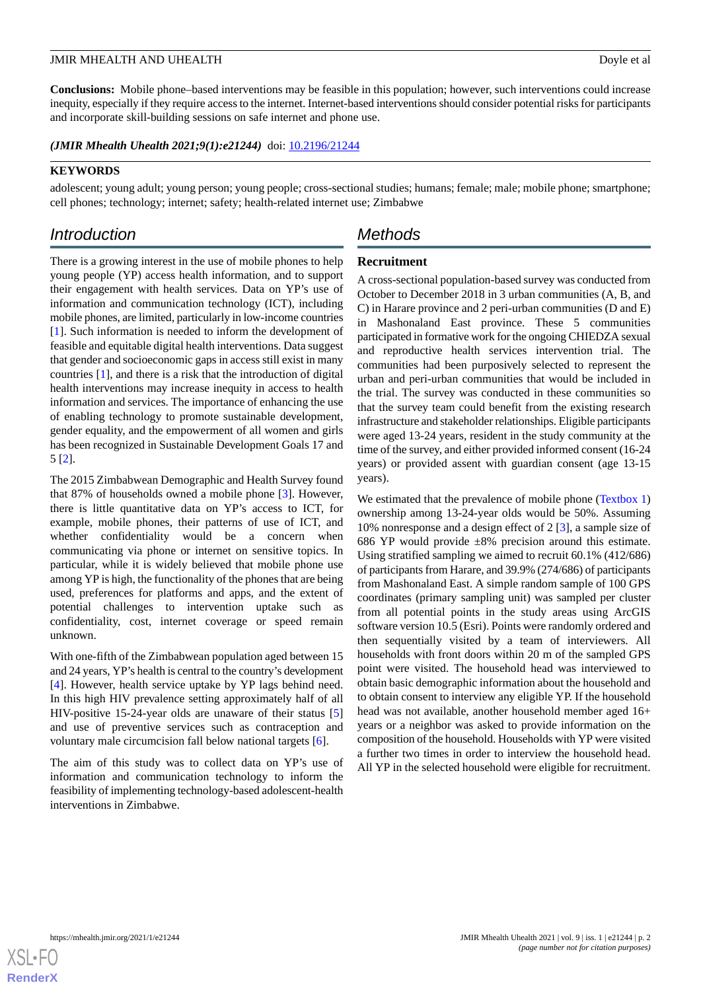**Conclusions:** Mobile phone–based interventions may be feasible in this population; however, such interventions could increase inequity, especially if they require access to the internet. Internet-based interventions should consider potential risks for participants and incorporate skill-building sessions on safe internet and phone use.

*(JMIR Mhealth Uhealth 2021;9(1):e21244)* doi:  $10.2196/21244$ 

# **KEYWORDS**

adolescent; young adult; young person; young people; cross-sectional studies; humans; female; male; mobile phone; smartphone; cell phones; technology; internet; safety; health-related internet use; Zimbabwe

# *Introduction*

# *Methods*

# **Recruitment**

There is a growing interest in the use of mobile phones to help young people (YP) access health information, and to support their engagement with health services. Data on YP's use of information and communication technology (ICT), including mobile phones, are limited, particularly in low-income countries [[1\]](#page-12-0). Such information is needed to inform the development of feasible and equitable digital health interventions. Data suggest that gender and socioeconomic gaps in access still exist in many countries [\[1](#page-12-0)], and there is a risk that the introduction of digital health interventions may increase inequity in access to health information and services. The importance of enhancing the use of enabling technology to promote sustainable development, gender equality, and the empowerment of all women and girls has been recognized in Sustainable Development Goals 17 and 5 [\[2](#page-13-0)].

The 2015 Zimbabwean Demographic and Health Survey found that 87% of households owned a mobile phone [[3\]](#page-13-1). However, there is little quantitative data on YP's access to ICT, for example, mobile phones, their patterns of use of ICT, and whether confidentiality would be a concern when communicating via phone or internet on sensitive topics. In particular, while it is widely believed that mobile phone use among YP is high, the functionality of the phones that are being used, preferences for platforms and apps, and the extent of potential challenges to intervention uptake such as confidentiality, cost, internet coverage or speed remain unknown.

With one-fifth of the Zimbabwean population aged between 15 and 24 years, YP's health is central to the country's development [[4\]](#page-13-2). However, health service uptake by YP lags behind need. In this high HIV prevalence setting approximately half of all HIV-positive 15-24-year olds are unaware of their status [\[5](#page-13-3)] and use of preventive services such as contraception and voluntary male circumcision fall below national targets [[6\]](#page-13-4).

The aim of this study was to collect data on YP's use of information and communication technology to inform the feasibility of implementing technology-based adolescent-health interventions in Zimbabwe.

A cross-sectional population-based survey was conducted from October to December 2018 in 3 urban communities (A, B, and C) in Harare province and 2 peri-urban communities (D and E) in Mashonaland East province. These 5 communities participated in formative work for the ongoing CHIEDZA sexual and reproductive health services intervention trial. The communities had been purposively selected to represent the urban and peri-urban communities that would be included in the trial. The survey was conducted in these communities so that the survey team could benefit from the existing research infrastructure and stakeholder relationships. Eligible participants were aged 13-24 years, resident in the study community at the time of the survey, and either provided informed consent (16-24 years) or provided assent with guardian consent (age 13-15 years).

We estimated that the prevalence of mobile phone [\(Textbox 1](#page-2-0)) ownership among 13-24-year olds would be 50%. Assuming 10% nonresponse and a design effect of 2 [[3\]](#page-13-1), a sample size of 686 YP would provide  $\pm 8\%$  precision around this estimate. Using stratified sampling we aimed to recruit 60.1% (412/686) of participants from Harare, and 39.9% (274/686) of participants from Mashonaland East. A simple random sample of 100 GPS coordinates (primary sampling unit) was sampled per cluster from all potential points in the study areas using ArcGIS software version 10.5 (Esri). Points were randomly ordered and then sequentially visited by a team of interviewers. All households with front doors within 20 m of the sampled GPS point were visited. The household head was interviewed to obtain basic demographic information about the household and to obtain consent to interview any eligible YP. If the household head was not available, another household member aged 16+ years or a neighbor was asked to provide information on the composition of the household. Households with YP were visited a further two times in order to interview the household head. All YP in the selected household were eligible for recruitment.

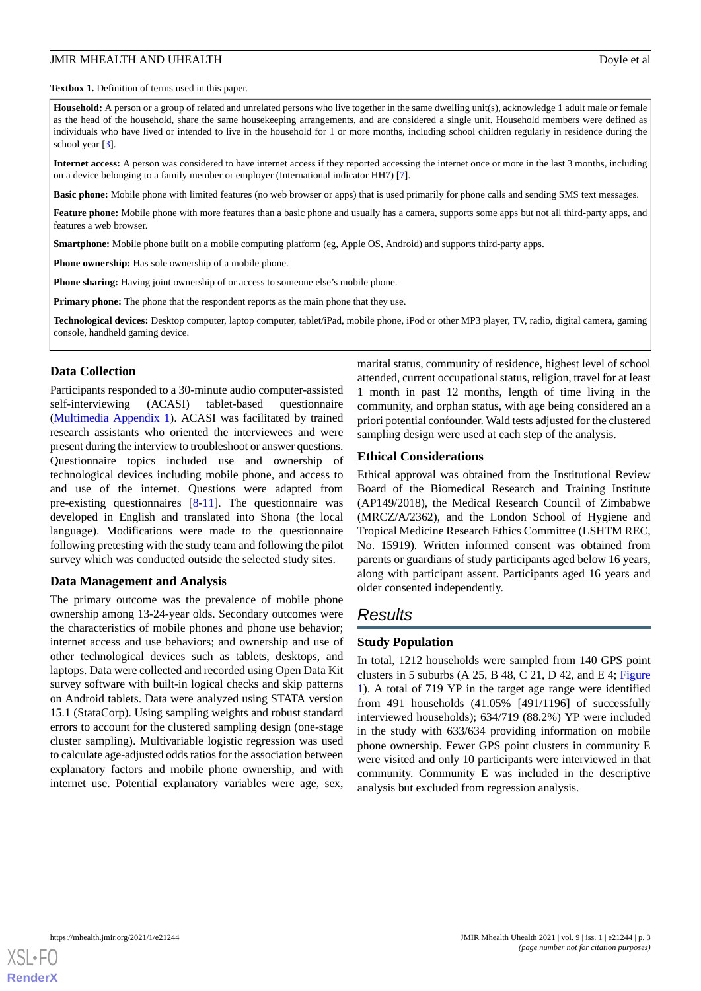<span id="page-2-0"></span>**Textbox 1.** Definition of terms used in this paper.

**Household:** A person or a group of related and unrelated persons who live together in the same dwelling unit(s), acknowledge 1 adult male or female as the head of the household, share the same housekeeping arrangements, and are considered a single unit. Household members were defined as individuals who have lived or intended to live in the household for 1 or more months, including school children regularly in residence during the school year [\[3\]](#page-13-1).

**Internet access:** A person was considered to have internet access if they reported accessing the internet once or more in the last 3 months, including on a device belonging to a family member or employer (International indicator HH7) [[7\]](#page-13-5).

**Basic phone:** Mobile phone with limited features (no web browser or apps) that is used primarily for phone calls and sending SMS text messages.

**Feature phone:** Mobile phone with more features than a basic phone and usually has a camera, supports some apps but not all third-party apps, and features a web browser.

**Smartphone:** Mobile phone built on a mobile computing platform (eg, Apple OS, Android) and supports third-party apps.

**Phone ownership:** Has sole ownership of a mobile phone.

**Phone sharing:** Having joint ownership of or access to someone else's mobile phone.

**Primary phone:** The phone that the respondent reports as the main phone that they use.

**Technological devices:** Desktop computer, laptop computer, tablet/iPad, mobile phone, iPod or other MP3 player, TV, radio, digital camera, gaming console, handheld gaming device.

#### **Data Collection**

Participants responded to a 30-minute audio computer-assisted self-interviewing (ACASI) tablet-based questionnaire ([Multimedia Appendix 1](#page-12-1)). ACASI was facilitated by trained research assistants who oriented the interviewees and were present during the interview to troubleshoot or answer questions. Questionnaire topics included use and ownership of technological devices including mobile phone, and access to and use of the internet. Questions were adapted from pre-existing questionnaires [[8-](#page-13-6)[11](#page-13-7)]. The questionnaire was developed in English and translated into Shona (the local language). Modifications were made to the questionnaire following pretesting with the study team and following the pilot survey which was conducted outside the selected study sites.

#### **Data Management and Analysis**

The primary outcome was the prevalence of mobile phone ownership among 13-24-year olds. Secondary outcomes were the characteristics of mobile phones and phone use behavior; internet access and use behaviors; and ownership and use of other technological devices such as tablets, desktops, and laptops. Data were collected and recorded using Open Data Kit survey software with built-in logical checks and skip patterns on Android tablets. Data were analyzed using STATA version 15.1 (StataCorp). Using sampling weights and robust standard errors to account for the clustered sampling design (one-stage cluster sampling). Multivariable logistic regression was used to calculate age-adjusted odds ratios for the association between explanatory factors and mobile phone ownership, and with internet use. Potential explanatory variables were age, sex, marital status, community of residence, highest level of school attended, current occupational status, religion, travel for at least 1 month in past 12 months, length of time living in the community, and orphan status, with age being considered an a priori potential confounder. Wald tests adjusted for the clustered sampling design were used at each step of the analysis.

#### **Ethical Considerations**

Ethical approval was obtained from the Institutional Review Board of the Biomedical Research and Training Institute (AP149/2018), the Medical Research Council of Zimbabwe (MRCZ/A/2362), and the London School of Hygiene and Tropical Medicine Research Ethics Committee (LSHTM REC, No. 15919). Written informed consent was obtained from parents or guardians of study participants aged below 16 years, along with participant assent. Participants aged 16 years and older consented independently.

# *Results*

#### **Study Population**

In total, 1212 households were sampled from 140 GPS point clusters in 5 suburbs (A 25, B 48, C 21, D 42, and E 4; [Figure](#page-3-0) [1\)](#page-3-0). A total of 719 YP in the target age range were identified from 491 households (41.05% [491/1196] of successfully interviewed households); 634/719 (88.2%) YP were included in the study with 633/634 providing information on mobile phone ownership. Fewer GPS point clusters in community E were visited and only 10 participants were interviewed in that community. Community E was included in the descriptive analysis but excluded from regression analysis.

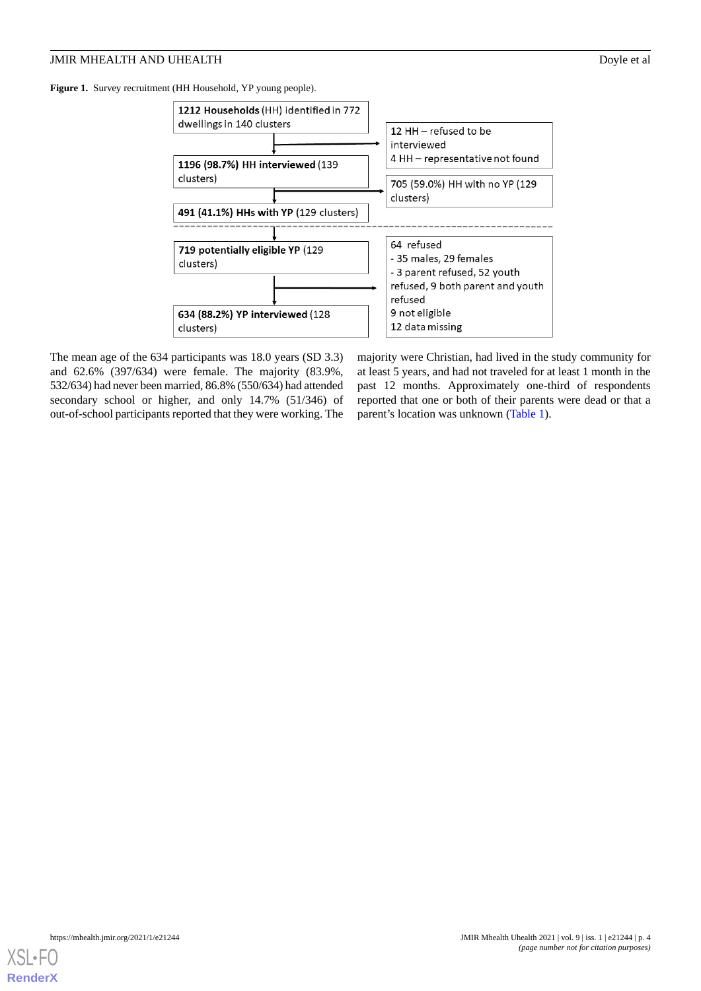#### **JMIR MHEALTH AND UHEALTH Dove et al.** Dovle et al.

<span id="page-3-0"></span>**Figure 1.** Survey recruitment (HH Household, YP young people).



The mean age of the 634 participants was 18.0 years (SD 3.3) and 62.6% (397/634) were female. The majority (83.9%, 532/634) had never been married, 86.8% (550/634) had attended secondary school or higher, and only 14.7% (51/346) of out-of-school participants reported that they were working. The majority were Christian, had lived in the study community for at least 5 years, and had not traveled for at least 1 month in the past 12 months. Approximately one-third of respondents reported that one or both of their parents were dead or that a parent's location was unknown [\(Table 1\)](#page-4-0).

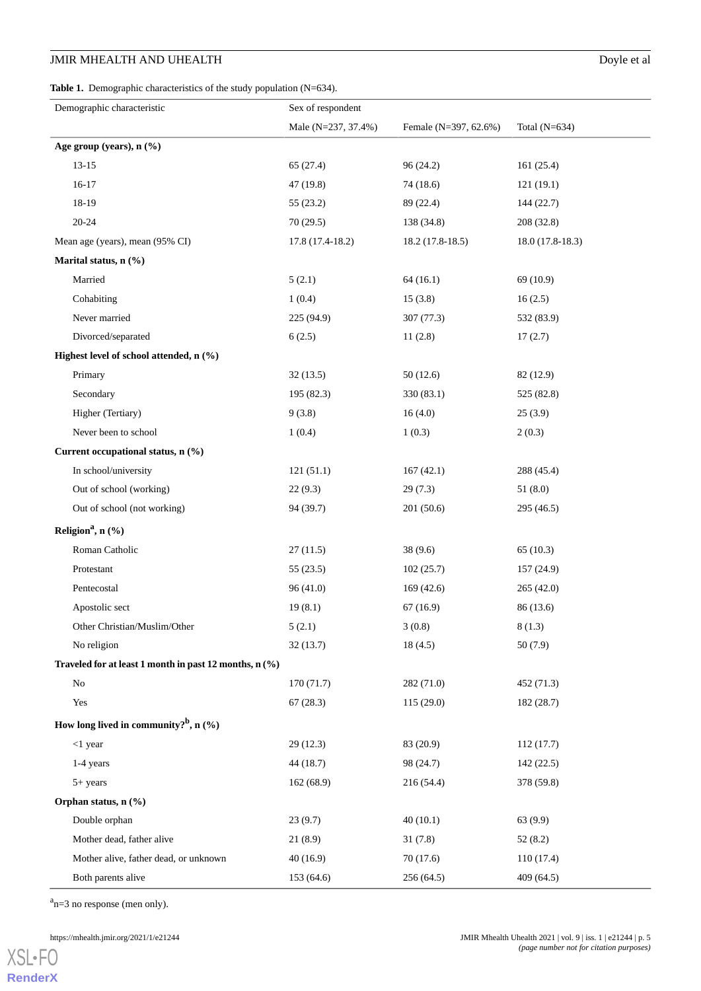# **JMIR MHEALTH AND UHEALTH** Doyle et al

<span id="page-4-0"></span>Table 1. Demographic characteristics of the study population (N=634).

| Demographic characteristic                             | Sex of respondent<br>Male (N=237, 37.4%) | Female (N=397, 62.6%) | Total (N=634)     |
|--------------------------------------------------------|------------------------------------------|-----------------------|-------------------|
| Age group (years), n (%)                               |                                          |                       |                   |
|                                                        |                                          |                       |                   |
| $13 - 15$                                              | 65(27.4)                                 | 96(24.2)              | 161(25.4)         |
| $16 - 17$                                              | 47 (19.8)                                | 74 (18.6)             | 121(19.1)         |
| 18-19                                                  | 55(23.2)                                 | 89 (22.4)             | 144 (22.7)        |
| $20 - 24$                                              | 70(29.5)                                 | 138 (34.8)            | 208 (32.8)        |
| Mean age (years), mean (95% CI)                        | 17.8 (17.4-18.2)                         | $18.2(17.8-18.5)$     | $18.0(17.8-18.3)$ |
| Marital status, n (%)                                  |                                          |                       |                   |
| Married                                                | 5(2.1)                                   | 64(16.1)              | 69 (10.9)         |
| Cohabiting                                             | 1(0.4)                                   | 15(3.8)               | 16(2.5)           |
| Never married                                          | 225 (94.9)                               | 307(77.3)             | 532 (83.9)        |
| Divorced/separated                                     | 6(2.5)                                   | 11(2.8)               | 17(2.7)           |
| Highest level of school attended, n (%)                |                                          |                       |                   |
| Primary                                                | 32(13.5)                                 | 50(12.6)              | 82 (12.9)         |
| Secondary                                              | 195 (82.3)                               | 330 (83.1)            | 525 (82.8)        |
| Higher (Tertiary)                                      | 9(3.8)                                   | 16(4.0)               | 25(3.9)           |
| Never been to school                                   | 1(0.4)                                   | 1(0.3)                | 2(0.3)            |
| Current occupational status, n (%)                     |                                          |                       |                   |
| In school/university                                   | 121(51.1)                                | 167(42.1)             | 288 (45.4)        |
| Out of school (working)                                | 22(9.3)                                  | 29(7.3)               | 51(8.0)           |
| Out of school (not working)                            | 94 (39.7)                                | 201 (50.6)            | 295 (46.5)        |
| Religion <sup>a</sup> , n $(\frac{6}{9})$              |                                          |                       |                   |
| Roman Catholic                                         | 27(11.5)                                 | 38(9.6)               | 65(10.3)          |
| Protestant                                             | 55(23.5)                                 | 102(25.7)             | 157 (24.9)        |
| Pentecostal                                            | 96 (41.0)                                | 169(42.6)             | 265 (42.0)        |
| Apostolic sect                                         | 19(8.1)                                  | 67(16.9)              | 86 (13.6)         |
| Other Christian/Muslim/Other                           | 5(2.1)                                   | 3(0.8)                | 8(1.3)            |
| No religion                                            | 32(13.7)                                 | 18(4.5)               | 50 (7.9)          |
| Traveled for at least 1 month in past 12 months, n (%) |                                          |                       |                   |
| N <sub>0</sub>                                         | 170(71.7)                                | 282 (71.0)            | 452(71.3)         |
| Yes                                                    | 67(28.3)                                 | 115 (29.0)            | 182 (28.7)        |
| How long lived in community? <sup>b</sup> , n $(\%)$   |                                          |                       |                   |
| $<$ 1 year                                             | 29(12.3)                                 | 83 (20.9)             | 112(17.7)         |
| 1-4 years                                              | 44 (18.7)                                | 98 (24.7)             | 142(22.5)         |
| $5+ years$                                             | 162(68.9)                                | 216 (54.4)            | 378 (59.8)        |
| Orphan status, n (%)                                   |                                          |                       |                   |
| Double orphan                                          | 23(9.7)                                  | 40(10.1)              | 63 (9.9)          |
| Mother dead, father alive                              | 21(8.9)                                  | 31(7.8)               | 52(8.2)           |
| Mother alive, father dead, or unknown                  | 40(16.9)                                 | 70(17.6)              | 110 (17.4)        |
|                                                        |                                          |                       |                   |
| Both parents alive                                     | 153(64.6)                                | 256(64.5)             | 409(64.5)         |

 $a_{n=3}$  no response (men only).

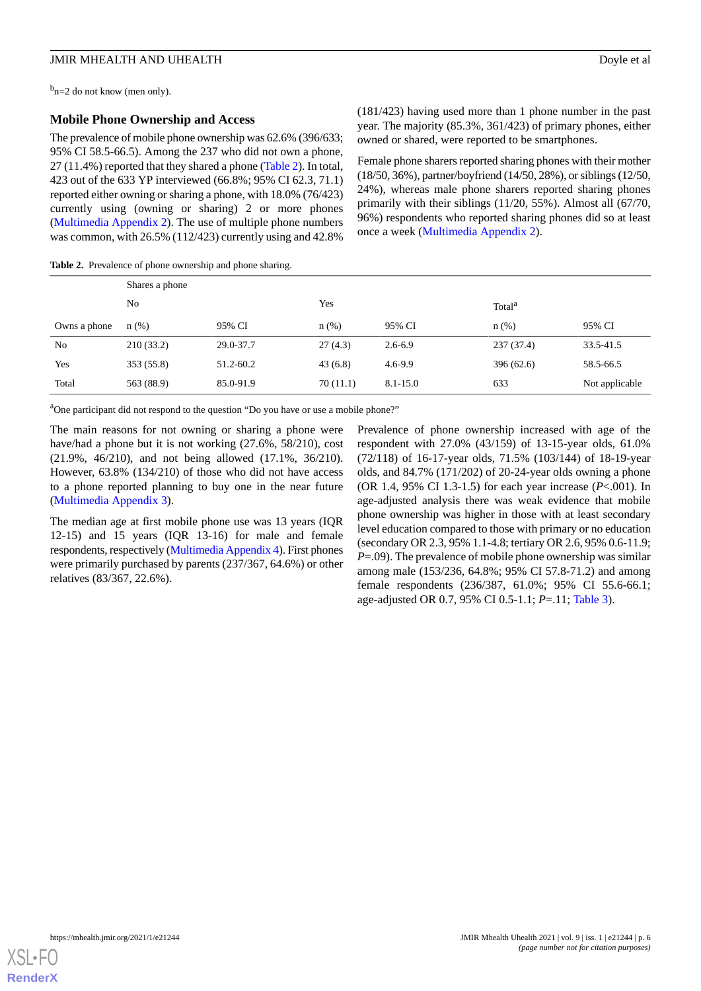<sup>b</sup>n=2 do not know (men only).

#### **Mobile Phone Ownership and Access**

The prevalence of mobile phone ownership was 62.6% (396/633; 95% CI 58.5-66.5). Among the 237 who did not own a phone, 27 (11.4%) reported that they shared a phone [\(Table 2](#page-5-0)). In total, 423 out of the 633 YP interviewed (66.8%; 95% CI 62.3, 71.1) reported either owning or sharing a phone, with 18.0% (76/423) currently using (owning or sharing) 2 or more phones ([Multimedia Appendix 2\)](#page-12-2). The use of multiple phone numbers was common, with 26.5% (112/423) currently using and 42.8%

(181/423) having used more than 1 phone number in the past year. The majority (85.3%, 361/423) of primary phones, either owned or shared, were reported to be smartphones.

Female phone sharers reported sharing phones with their mother (18/50, 36%), partner/boyfriend (14/50, 28%), or siblings (12/50, 24%), whereas male phone sharers reported sharing phones primarily with their siblings (11/20, 55%). Almost all (67/70, 96%) respondents who reported sharing phones did so at least once a week ([Multimedia Appendix 2\)](#page-12-2).

<span id="page-5-0"></span>**Table 2.** Prevalence of phone ownership and phone sharing.

|                | Shares a phone |           |          |             |                    |                |  |
|----------------|----------------|-----------|----------|-------------|--------------------|----------------|--|
|                | N <sub>0</sub> |           | Yes      |             | Total <sup>a</sup> |                |  |
| Owns a phone   | $n(\%)$        | 95% CI    | n(%)     | 95% CI      | $n(\%)$            | 95% CI         |  |
| N <sub>0</sub> | 210(33.2)      | 29.0-37.7 | 27(4.3)  | $2.6 - 6.9$ | 237(37.4)          | 33.5-41.5      |  |
| Yes            | 353 (55.8)     | 51.2-60.2 | 43(6.8)  | $4.6 - 9.9$ | 396(62.6)          | 58.5-66.5      |  |
| Total          | 563 (88.9)     | 85.0-91.9 | 70(11.1) | 8.1-15.0    | 633                | Not applicable |  |

<sup>a</sup>One participant did not respond to the question "Do you have or use a mobile phone?"

The main reasons for not owning or sharing a phone were have/had a phone but it is not working (27.6%, 58/210), cost (21.9%, 46/210), and not being allowed (17.1%, 36/210). However, 63.8% (134/210) of those who did not have access to a phone reported planning to buy one in the near future ([Multimedia Appendix 3\)](#page-12-3).

The median age at first mobile phone use was 13 years (IQR 12-15) and 15 years (IQR 13-16) for male and female respondents, respectively ([Multimedia Appendix 4\)](#page-12-4). First phones were primarily purchased by parents (237/367, 64.6%) or other relatives (83/367, 22.6%).

Prevalence of phone ownership increased with age of the respondent with 27.0% (43/159) of 13-15-year olds, 61.0% (72/118) of 16-17-year olds, 71.5% (103/144) of 18-19-year olds, and 84.7% (171/202) of 20-24-year olds owning a phone (OR 1.4, 95% CI 1.3-1.5) for each year increase (*P*<.001). In age-adjusted analysis there was weak evidence that mobile phone ownership was higher in those with at least secondary level education compared to those with primary or no education (secondary OR 2.3, 95% 1.1-4.8; tertiary OR 2.6, 95% 0.6-11.9; *P*=.09). The prevalence of mobile phone ownership was similar among male (153/236, 64.8%; 95% CI 57.8-71.2) and among female respondents (236/387, 61.0%; 95% CI 55.6-66.1; age-adjusted OR 0.7, 95% CI 0.5-1.1; *P*=.11; [Table 3](#page-6-0)).

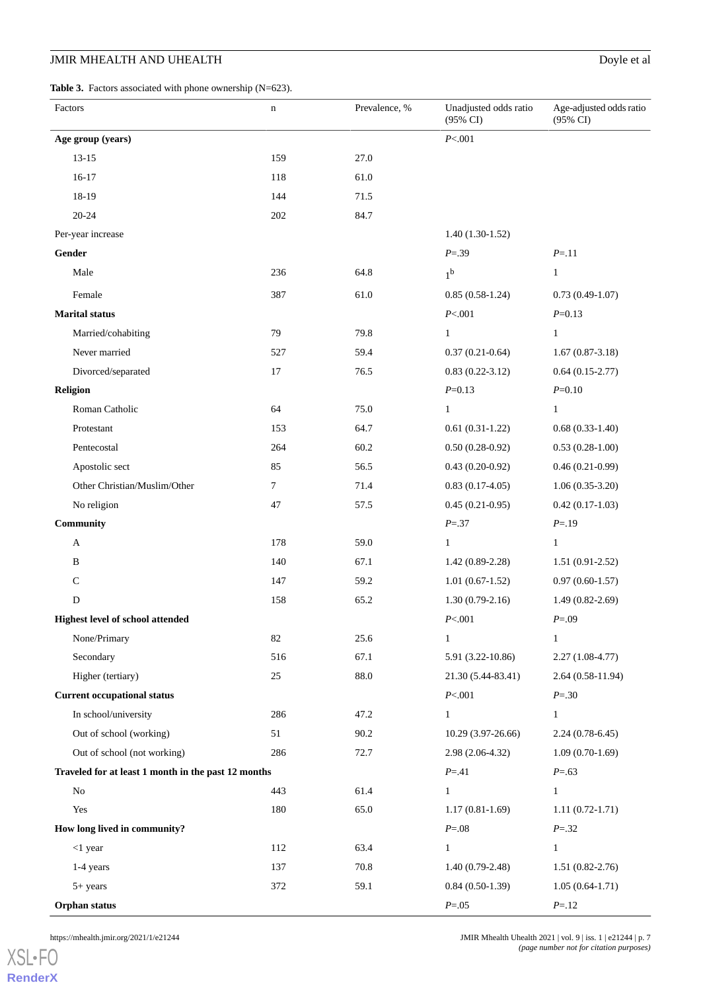# **JMIR MHEALTH AND UHEALTH** Doyle et al

<span id="page-6-0"></span>Table 3. Factors associated with phone ownership (N=623).

| Factors                                             | $\mathbf n$      | Prevalence, % | Unadjusted odds ratio<br>(95% CI) | Age-adjusted odds ratio<br>(95% CI) |
|-----------------------------------------------------|------------------|---------------|-----------------------------------|-------------------------------------|
| Age group (years)                                   |                  |               | P < 001                           |                                     |
| $13 - 15$                                           | 159              | 27.0          |                                   |                                     |
| $16-17$                                             | 118              | 61.0          |                                   |                                     |
| 18-19                                               | 144              | 71.5          |                                   |                                     |
| $20 - 24$                                           | 202              | 84.7          |                                   |                                     |
| Per-year increase                                   |                  |               | $1.40(1.30-1.52)$                 |                                     |
| Gender                                              |                  |               | $P = 0.39$                        | $P = 11$                            |
| Male                                                | 236              | 64.8          | 1 <sup>b</sup>                    | $\mathbf{1}$                        |
| Female                                              | 387              | 61.0          | $0.85(0.58-1.24)$                 | $0.73(0.49-1.07)$                   |
| <b>Marital status</b>                               |                  |               | P < 001                           | $P = 0.13$                          |
| Married/cohabiting                                  | 79               | 79.8          | $\mathbf{1}$                      | $\mathbf{1}$                        |
| Never married                                       | 527              | 59.4          | $0.37(0.21-0.64)$                 | $1.67(0.87-3.18)$                   |
| Divorced/separated                                  | 17               | 76.5          | $0.83(0.22 - 3.12)$               | $0.64(0.15-2.77)$                   |
| <b>Religion</b>                                     |                  |               | $P = 0.13$                        | $P = 0.10$                          |
| Roman Catholic                                      | 64               | 75.0          | $\mathbf{1}$                      | $\mathbf{1}$                        |
| Protestant                                          | 153              | 64.7          | $0.61(0.31-1.22)$                 | $0.68(0.33-1.40)$                   |
| Pentecostal                                         | 264              | 60.2          | $0.50(0.28-0.92)$                 | $0.53(0.28-1.00)$                   |
| Apostolic sect                                      | 85               | 56.5          | $0.43(0.20-0.92)$                 | $0.46(0.21-0.99)$                   |
| Other Christian/Muslim/Other                        | $\boldsymbol{7}$ | 71.4          | $0.83(0.17-4.05)$                 | $1.06(0.35-3.20)$                   |
| No religion                                         | 47               | 57.5          | $0.45(0.21-0.95)$                 | $0.42(0.17-1.03)$                   |
| Community                                           |                  |               | $P = 37$                          | $P = 19$                            |
| A                                                   | 178              | 59.0          | $\mathbf{1}$                      | $\mathbf{1}$                        |
| B                                                   | 140              | 67.1          | $1.42(0.89-2.28)$                 | $1.51(0.91-2.52)$                   |
| C                                                   | 147              | 59.2          | $1.01(0.67-1.52)$                 | $0.97(0.60-1.57)$                   |
| D                                                   | 158              | 65.2          | $1.30(0.79-2.16)$                 | $1.49(0.82-2.69)$                   |
| <b>Highest level of school attended</b>             |                  |               | P<.001                            | $P = .09$                           |
| None/Primary                                        | 82               | 25.6          | $\mathbf{1}$                      | $\mathbf{1}$                        |
| Secondary                                           | 516              | 67.1          | 5.91 (3.22-10.86)                 | $2.27(1.08-4.77)$                   |
| Higher (tertiary)                                   | 25               | 88.0          | 21.30 (5.44-83.41)                | $2.64(0.58-11.94)$                  |
| <b>Current occupational status</b>                  |                  |               | P < 001                           | $P = 30$                            |
| In school/university                                | 286              | 47.2          | $\mathbf{1}$                      | $\mathbf{1}$                        |
| Out of school (working)                             | 51               | 90.2          | 10.29 (3.97-26.66)                | $2.24(0.78-6.45)$                   |
| Out of school (not working)                         | 286              | 72.7          | 2.98 (2.06-4.32)                  | $1.09(0.70-1.69)$                   |
| Traveled for at least 1 month in the past 12 months |                  |               | $P = 0.41$                        | $P = .63$                           |
| No                                                  | 443              | 61.4          | $\mathbf{1}$                      | $\mathbf{1}$                        |
| Yes                                                 | 180              | 65.0          | $1.17(0.81-1.69)$                 | $1.11(0.72-1.71)$                   |
| How long lived in community?                        |                  |               | $P = .08$                         | $P = 32$                            |
| $<$ 1 year                                          | 112              | 63.4          | $\mathbf{1}$                      | $\mathbf{1}$                        |
| 1-4 years                                           | 137              | 70.8          | $1.40(0.79-2.48)$                 | $1.51(0.82 - 2.76)$                 |
| 5+ years                                            | 372              | 59.1          | $0.84(0.50-1.39)$                 | $1.05(0.64-1.71)$                   |
| Orphan status                                       |                  |               | $P = .05$                         | $P = 12$                            |

[XSL](http://www.w3.org/Style/XSL)•FO **[RenderX](http://www.renderx.com/)**

https://mhealth.jmir.org/2021/1/e21244 12.1244 JMIR Mhealth Uhealth Uhealth Uhealth 2021 | vol. 9 | iss. 1 | e21244 | p. 7 *(page number not for citation purposes)*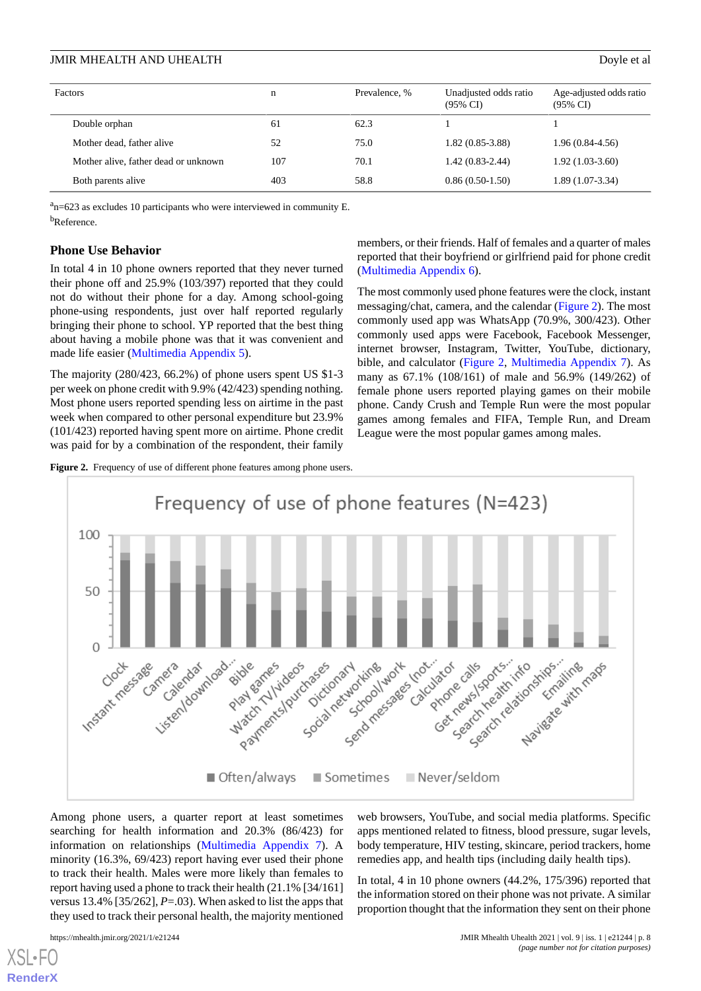| Factors                              | n   | Prevalence, % | Unadjusted odds ratio<br>$(95\% \text{ CI})$ | Age-adjusted odds ratio<br>$(95\% \text{ CI})$ |
|--------------------------------------|-----|---------------|----------------------------------------------|------------------------------------------------|
| Double orphan                        | 61  | 62.3          |                                              |                                                |
| Mother dead, father alive            | 52  | 75.0          | $1.82(0.85-3.88)$                            | $1.96(0.84-4.56)$                              |
| Mother alive, father dead or unknown | 107 | 70.1          | $1.42(0.83-2.44)$                            | $1.92(1.03-3.60)$                              |
| Both parents alive                   | 403 | 58.8          | $0.86(0.50-1.50)$                            | $1.89(1.07-3.34)$                              |

 $a<sub>n</sub>=623$  as excludes 10 participants who were interviewed in community E. b<sub>Reference.</sub>

#### **Phone Use Behavior**

In total 4 in 10 phone owners reported that they never turned their phone off and 25.9% (103/397) reported that they could not do without their phone for a day. Among school-going phone-using respondents, just over half reported regularly bringing their phone to school. YP reported that the best thing about having a mobile phone was that it was convenient and made life easier ([Multimedia Appendix 5\)](#page-12-5).

The majority (280/423, 66.2%) of phone users spent US \$1-3 per week on phone credit with 9.9% (42/423) spending nothing. Most phone users reported spending less on airtime in the past week when compared to other personal expenditure but 23.9% (101/423) reported having spent more on airtime. Phone credit was paid for by a combination of the respondent, their family members, or their friends. Half of females and a quarter of males reported that their boyfriend or girlfriend paid for phone credit ([Multimedia Appendix 6](#page-12-6)).

The most commonly used phone features were the clock, instant messaging/chat, camera, and the calendar [\(Figure 2\)](#page-7-0). The most commonly used app was WhatsApp (70.9%, 300/423). Other commonly used apps were Facebook, Facebook Messenger, internet browser, Instagram, Twitter, YouTube, dictionary, bible, and calculator ([Figure 2](#page-7-0), [Multimedia Appendix 7](#page-12-7)). As many as 67.1% (108/161) of male and 56.9% (149/262) of female phone users reported playing games on their mobile phone. Candy Crush and Temple Run were the most popular games among females and FIFA, Temple Run, and Dream League were the most popular games among males.

<span id="page-7-0"></span>**Figure 2.** Frequency of use of different phone features among phone users.



Among phone users, a quarter report at least sometimes searching for health information and 20.3% (86/423) for information on relationships ([Multimedia Appendix 7](#page-12-7)). A minority (16.3%, 69/423) report having ever used their phone to track their health. Males were more likely than females to report having used a phone to track their health (21.1% [34/161] versus 13.4% [35/262], *P*=.03). When asked to list the apps that they used to track their personal health, the majority mentioned

 $XS$  • FO **[RenderX](http://www.renderx.com/)**

https://mhealth.jmir.org/2021/1/e21244 12021 | vol. 9 | iss. 1 | e21244 | p. 8 *(page number not for citation purposes)*

web browsers, YouTube, and social media platforms. Specific apps mentioned related to fitness, blood pressure, sugar levels, body temperature, HIV testing, skincare, period trackers, home remedies app, and health tips (including daily health tips).

In total, 4 in 10 phone owners (44.2%, 175/396) reported that the information stored on their phone was not private. A similar proportion thought that the information they sent on their phone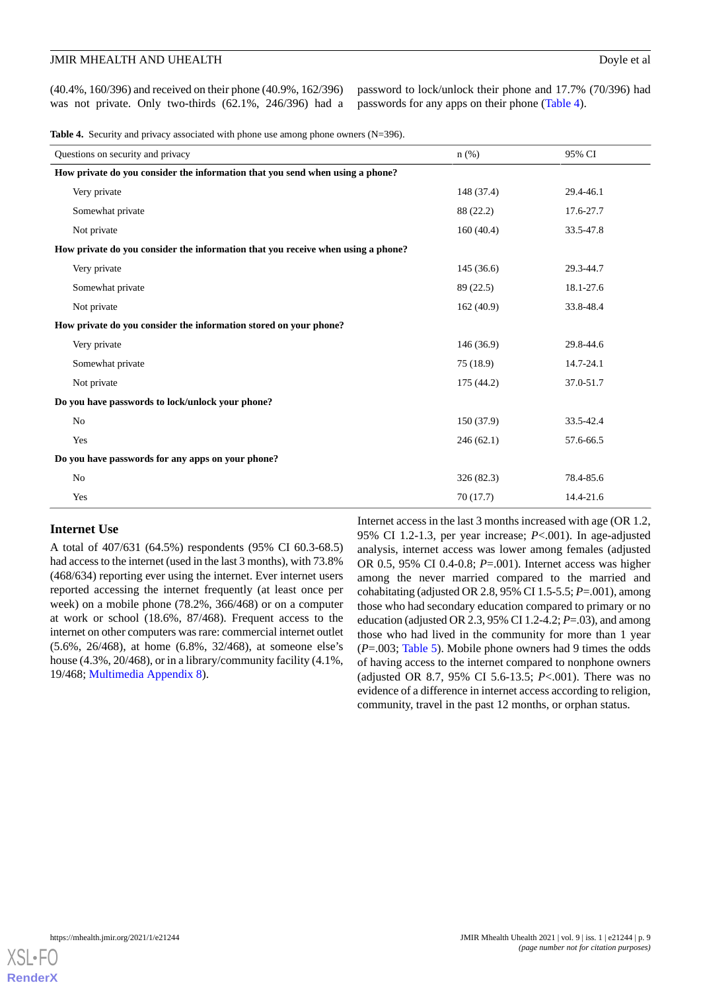(40.4%, 160/396) and received on their phone (40.9%, 162/396) was not private. Only two-thirds (62.1%, 246/396) had a

password to lock/unlock their phone and 17.7% (70/396) had passwords for any apps on their phone [\(Table 4](#page-8-0)).

<span id="page-8-0"></span>**Table 4.** Security and privacy associated with phone use among phone owners (N=396).

| Questions on security and privacy                                                | $n$ (%)    | 95% CI    |  |  |  |
|----------------------------------------------------------------------------------|------------|-----------|--|--|--|
| How private do you consider the information that you send when using a phone?    |            |           |  |  |  |
| Very private                                                                     | 148 (37.4) | 29.4-46.1 |  |  |  |
| Somewhat private                                                                 | 88 (22.2)  | 17.6-27.7 |  |  |  |
| Not private                                                                      | 160(40.4)  | 33.5-47.8 |  |  |  |
| How private do you consider the information that you receive when using a phone? |            |           |  |  |  |
| Very private                                                                     | 145(36.6)  | 29.3-44.7 |  |  |  |
| Somewhat private                                                                 | 89 (22.5)  | 18.1-27.6 |  |  |  |
| Not private                                                                      | 162(40.9)  | 33.8-48.4 |  |  |  |
| How private do you consider the information stored on your phone?                |            |           |  |  |  |
| Very private                                                                     | 146 (36.9) | 29.8-44.6 |  |  |  |
| Somewhat private                                                                 | 75(18.9)   | 14.7-24.1 |  |  |  |
| Not private                                                                      | 175 (44.2) | 37.0-51.7 |  |  |  |
| Do you have passwords to lock/unlock your phone?                                 |            |           |  |  |  |
| No                                                                               | 150 (37.9) | 33.5-42.4 |  |  |  |
| Yes                                                                              | 246(62.1)  | 57.6-66.5 |  |  |  |
| Do you have passwords for any apps on your phone?                                |            |           |  |  |  |
| No                                                                               | 326 (82.3) | 78.4-85.6 |  |  |  |
| Yes                                                                              | 70(17.7)   | 14.4-21.6 |  |  |  |

# **Internet Use**

A total of 407/631 (64.5%) respondents (95% CI 60.3-68.5) had access to the internet (used in the last 3 months), with 73.8% (468/634) reporting ever using the internet. Ever internet users reported accessing the internet frequently (at least once per week) on a mobile phone (78.2%, 366/468) or on a computer at work or school (18.6%, 87/468). Frequent access to the internet on other computers was rare: commercial internet outlet (5.6%, 26/468), at home (6.8%, 32/468), at someone else's house (4.3%, 20/468), or in a library/community facility (4.1%, 19/468; [Multimedia Appendix 8\)](#page-12-8).

Internet access in the last 3 months increased with age (OR 1.2, 95% CI 1.2-1.3, per year increase; *P*<.001). In age-adjusted analysis, internet access was lower among females (adjusted OR 0.5, 95% CI 0.4-0.8; *P*=.001). Internet access was higher among the never married compared to the married and cohabitating (adjusted OR 2.8, 95% CI 1.5-5.5; *P*=.001), among those who had secondary education compared to primary or no education (adjusted OR 2.3, 95% CI 1.2-4.2; *P*=.03), and among those who had lived in the community for more than 1 year (*P*=.003; [Table 5](#page-9-0)). Mobile phone owners had 9 times the odds of having access to the internet compared to nonphone owners (adjusted OR 8.7, 95% CI 5.6-13.5; *P*<.001). There was no evidence of a difference in internet access according to religion, community, travel in the past 12 months, or orphan status.

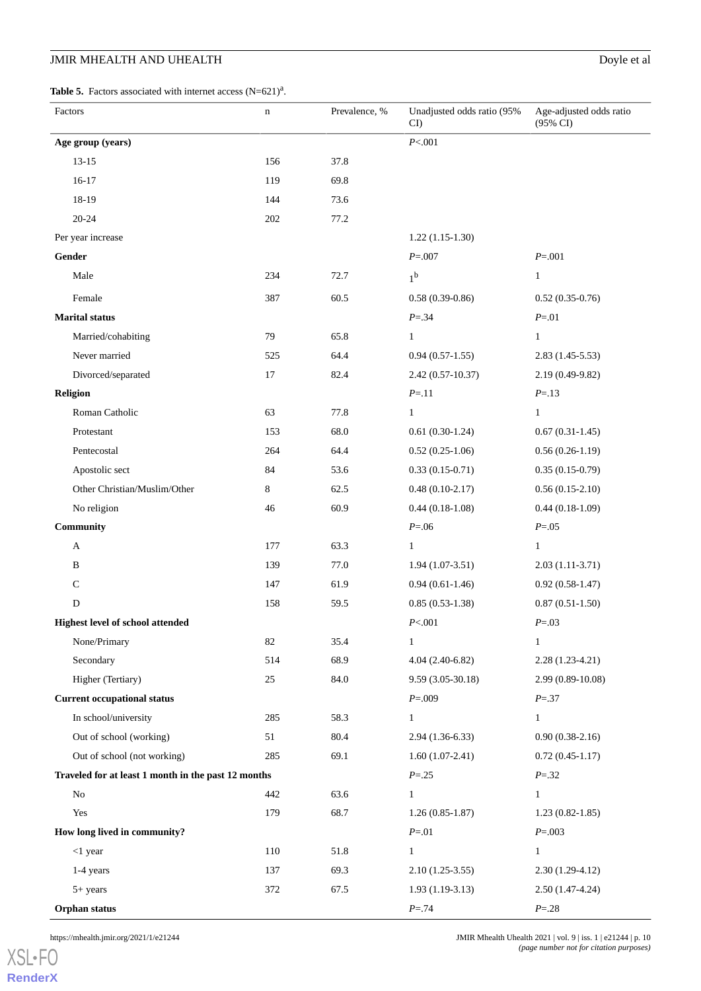# **JMIR MHEALTH AND UHEALTH** Doyle et al

<span id="page-9-0"></span>**Table 5.** Factors associated with internet access  $(N=621)^{a}$ .

| Factors                                             | n   | Prevalence, % | Unadjusted odds ratio (95%<br>$CI$ ) | Age-adjusted odds ratio<br>(95% CI) |
|-----------------------------------------------------|-----|---------------|--------------------------------------|-------------------------------------|
| Age group (years)                                   |     |               | P<.001                               |                                     |
| $13 - 15$                                           | 156 | 37.8          |                                      |                                     |
| $16-17$                                             | 119 | 69.8          |                                      |                                     |
| 18-19                                               | 144 | 73.6          |                                      |                                     |
| $20 - 24$                                           | 202 | 77.2          |                                      |                                     |
| Per year increase                                   |     |               | $1.22(1.15-1.30)$                    |                                     |
| Gender                                              |     |               | $P = 007$                            | $P = 001$                           |
| Male                                                | 234 | 72.7          | $1^{\rm b}$                          | $\mathbf{1}$                        |
| Female                                              | 387 | 60.5          | $0.58(0.39-0.86)$                    | $0.52(0.35-0.76)$                   |
| <b>Marital status</b>                               |     |               | $P = 34$                             | $P = 01$                            |
| Married/cohabiting                                  | 79  | 65.8          | $\mathbf{1}$                         | $\mathbf{1}$                        |
| Never married                                       | 525 | 64.4          | $0.94(0.57-1.55)$                    | $2.83(1.45-5.53)$                   |
| Divorced/separated                                  | 17  | 82.4          | $2.42(0.57-10.37)$                   | 2.19 (0.49-9.82)                    |
| <b>Religion</b>                                     |     |               | $P = 11$                             | $P = 13$                            |
| Roman Catholic                                      | 63  | 77.8          | $\mathbf{1}$                         | $\mathbf{1}$                        |
| Protestant                                          | 153 | 68.0          | $0.61(0.30-1.24)$                    | $0.67(0.31-1.45)$                   |
| Pentecostal                                         | 264 | 64.4          | $0.52(0.25-1.06)$                    | $0.56(0.26-1.19)$                   |
| Apostolic sect                                      | 84  | 53.6          | $0.33(0.15-0.71)$                    | $0.35(0.15-0.79)$                   |
| Other Christian/Muslim/Other                        | 8   | 62.5          | $0.48(0.10-2.17)$                    | $0.56(0.15-2.10)$                   |
| No religion                                         | 46  | 60.9          | $0.44(0.18-1.08)$                    | $0.44(0.18-1.09)$                   |
| Community                                           |     |               | $P = 0.06$                           | $P = 0.05$                          |
| A                                                   | 177 | 63.3          | $\mathbf{1}$                         | $\mathbf{1}$                        |
| B                                                   | 139 | 77.0          | $1.94(1.07-3.51)$                    | $2.03(1.11-3.71)$                   |
| $\mathsf{C}$                                        | 147 | 61.9          | $0.94(0.61-1.46)$                    | $0.92(0.58-1.47)$                   |
| D                                                   | 158 | 59.5          | $0.85(0.53-1.38)$                    | $0.87(0.51-1.50)$                   |
| <b>Highest level of school attended</b>             |     |               | P<.001                               | $P = .03$                           |
| None/Primary                                        | 82  | 35.4          | $\mathbf{1}$                         | $\mathbf{1}$                        |
| Secondary                                           | 514 | 68.9          | $4.04(2.40-6.82)$                    | $2.28(1.23-4.21)$                   |
| Higher (Tertiary)                                   | 25  | 84.0          | $9.59(3.05-30.18)$                   | 2.99 (0.89-10.08)                   |
| <b>Current occupational status</b>                  |     |               | $P = 0.009$                          | $P = 37$                            |
| In school/university                                | 285 | 58.3          | $\mathbf{1}$                         | $\mathbf{1}$                        |
| Out of school (working)                             | 51  | 80.4          | $2.94(1.36-6.33)$                    | $0.90(0.38-2.16)$                   |
| Out of school (not working)                         | 285 | 69.1          | $1.60(1.07-2.41)$                    | $0.72(0.45-1.17)$                   |
| Traveled for at least 1 month in the past 12 months |     |               | $P = 0.25$                           | $P = 32$                            |
| $\rm No$                                            | 442 | 63.6          | $\mathbf{1}$                         | $\mathbf{1}$                        |
| Yes                                                 | 179 | 68.7          | $1.26(0.85-1.87)$                    | $1.23(0.82 - 1.85)$                 |
| How long lived in community?                        |     |               | $P = 01$                             | $P = 0.003$                         |
| $<$ 1 year                                          | 110 | 51.8          | $\mathbf{1}$                         | $\mathbf{1}$                        |
| 1-4 years                                           | 137 | 69.3          | $2.10(1.25-3.55)$                    | $2.30(1.29-4.12)$                   |
| 5+ years                                            | 372 | 67.5          | $1.93(1.19-3.13)$                    | $2.50(1.47-4.24)$                   |
| Orphan status                                       |     |               | $P = 74$                             | $P = 28$                            |

[XSL](http://www.w3.org/Style/XSL)•FO **[RenderX](http://www.renderx.com/)**

https://mhealth.jmir.org/2021/1/e21244 | p. 10 and 10 and 10 and 10 and 10 and 10 and 10 and 10 and 10 and 10 and 10 and 10 and 10 and 10 and 10 and 10 and 10 and 10 and 10 and 10 and 10 and 10 and 10 and 10 and 10 and 10 *(page number not for citation purposes)*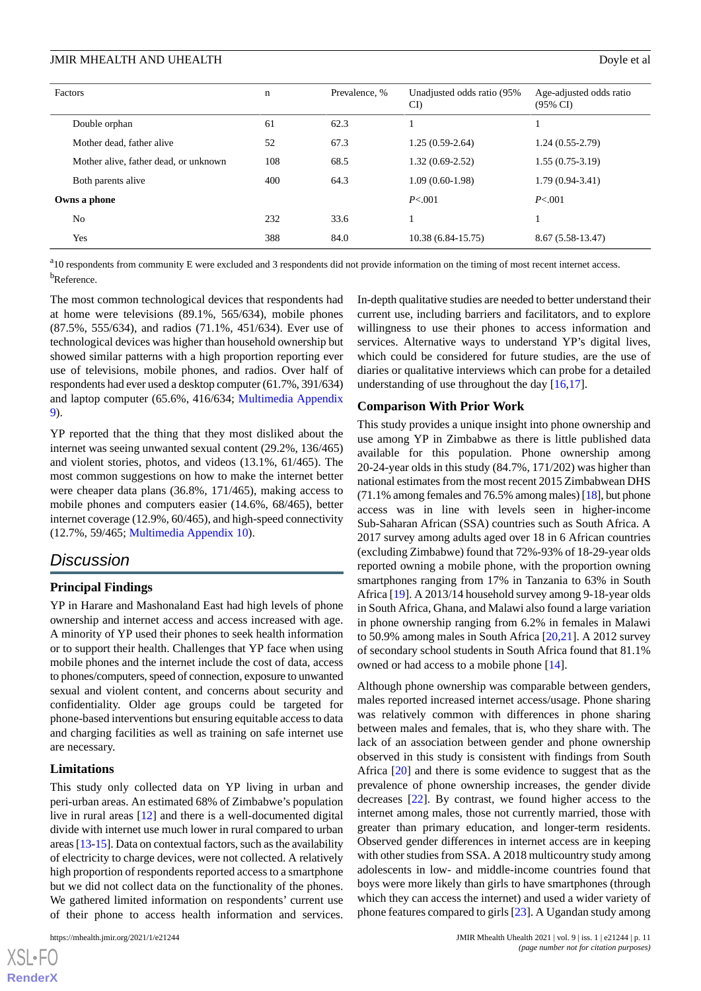| Factors                               | $\mathbf n$ | Prevalence, % | Unadjusted odds ratio (95%<br>CI) | Age-adjusted odds ratio<br>$(95\% \text{ CI})$ |
|---------------------------------------|-------------|---------------|-----------------------------------|------------------------------------------------|
| Double orphan                         | 61          | 62.3          |                                   |                                                |
| Mother dead, father alive             | 52          | 67.3          | $1.25(0.59-2.64)$                 | $1.24(0.55-2.79)$                              |
| Mother alive, father dead, or unknown | 108         | 68.5          | $1.32(0.69-2.52)$                 | $1.55(0.75-3.19)$                              |
| Both parents alive                    | 400         | 64.3          | $1.09(0.60-1.98)$                 | $1.79(0.94-3.41)$                              |
| Owns a phone                          |             |               | P < 0.001                         | P < 0.001                                      |
| N <sub>0</sub>                        | 232         | 33.6          |                                   |                                                |
| Yes                                   | 388         | 84.0          | $10.38(6.84-15.75)$               | $8.67(5.58-13.47)$                             |

<sup>a</sup>10 respondents from community E were excluded and 3 respondents did not provide information on the timing of most recent internet access. <sup>b</sup>Reference.

The most common technological devices that respondents had at home were televisions (89.1%, 565/634), mobile phones (87.5%, 555/634), and radios (71.1%, 451/634). Ever use of technological devices was higher than household ownership but showed similar patterns with a high proportion reporting ever use of televisions, mobile phones, and radios. Over half of respondents had ever used a desktop computer (61.7%, 391/634) and laptop computer (65.6%, 416/634; [Multimedia Appendix](#page-12-9) [9\)](#page-12-9).

YP reported that the thing that they most disliked about the internet was seeing unwanted sexual content (29.2%, 136/465) and violent stories, photos, and videos (13.1%, 61/465). The most common suggestions on how to make the internet better were cheaper data plans (36.8%, 171/465), making access to mobile phones and computers easier (14.6%, 68/465), better internet coverage (12.9%, 60/465), and high-speed connectivity (12.7%, 59/465; [Multimedia Appendix 10\)](#page-12-10).

# *Discussion*

#### **Principal Findings**

YP in Harare and Mashonaland East had high levels of phone ownership and internet access and access increased with age. A minority of YP used their phones to seek health information or to support their health. Challenges that YP face when using mobile phones and the internet include the cost of data, access to phones/computers, speed of connection, exposure to unwanted sexual and violent content, and concerns about security and confidentiality. Older age groups could be targeted for phone-based interventions but ensuring equitable access to data and charging facilities as well as training on safe internet use are necessary.

#### **Limitations**

This study only collected data on YP living in urban and peri-urban areas. An estimated 68% of Zimbabwe's population live in rural areas [[12\]](#page-13-8) and there is a well-documented digital divide with internet use much lower in rural compared to urban areas [[13-](#page-13-9)[15\]](#page-13-10). Data on contextual factors, such as the availability of electricity to charge devices, were not collected. A relatively high proportion of respondents reported access to a smartphone but we did not collect data on the functionality of the phones. We gathered limited information on respondents' current use of their phone to access health information and services.

In-depth qualitative studies are needed to better understand their current use, including barriers and facilitators, and to explore willingness to use their phones to access information and services. Alternative ways to understand YP's digital lives, which could be considered for future studies, are the use of diaries or qualitative interviews which can probe for a detailed understanding of use throughout the day [[16](#page-13-11)[,17](#page-13-12)].

#### **Comparison With Prior Work**

This study provides a unique insight into phone ownership and use among YP in Zimbabwe as there is little published data available for this population. Phone ownership among 20-24-year olds in this study (84.7%, 171/202) was higher than national estimates from the most recent 2015 Zimbabwean DHS (71.1% among females and 76.5% among males) [\[18](#page-13-13)], but phone access was in line with levels seen in higher-income Sub-Saharan African (SSA) countries such as South Africa. A 2017 survey among adults aged over 18 in 6 African countries (excluding Zimbabwe) found that 72%-93% of 18-29-year olds reported owning a mobile phone, with the proportion owning smartphones ranging from 17% in Tanzania to 63% in South Africa [\[19](#page-13-14)]. A 2013/14 household survey among 9-18-year olds in South Africa, Ghana, and Malawi also found a large variation in phone ownership ranging from 6.2% in females in Malawi to 50.9% among males in South Africa [[20](#page-13-15)[,21](#page-13-16)]. A 2012 survey of secondary school students in South Africa found that 81.1% owned or had access to a mobile phone [\[14](#page-13-17)].

Although phone ownership was comparable between genders, males reported increased internet access/usage. Phone sharing was relatively common with differences in phone sharing between males and females, that is, who they share with. The lack of an association between gender and phone ownership observed in this study is consistent with findings from South Africa [[20\]](#page-13-15) and there is some evidence to suggest that as the prevalence of phone ownership increases, the gender divide decreases [[22\]](#page-13-18). By contrast, we found higher access to the internet among males, those not currently married, those with greater than primary education, and longer-term residents. Observed gender differences in internet access are in keeping with other studies from SSA. A 2018 multicountry study among adolescents in low- and middle-income countries found that boys were more likely than girls to have smartphones (through which they can access the internet) and used a wider variety of phone features compared to girls [\[23](#page-13-19)]. A Ugandan study among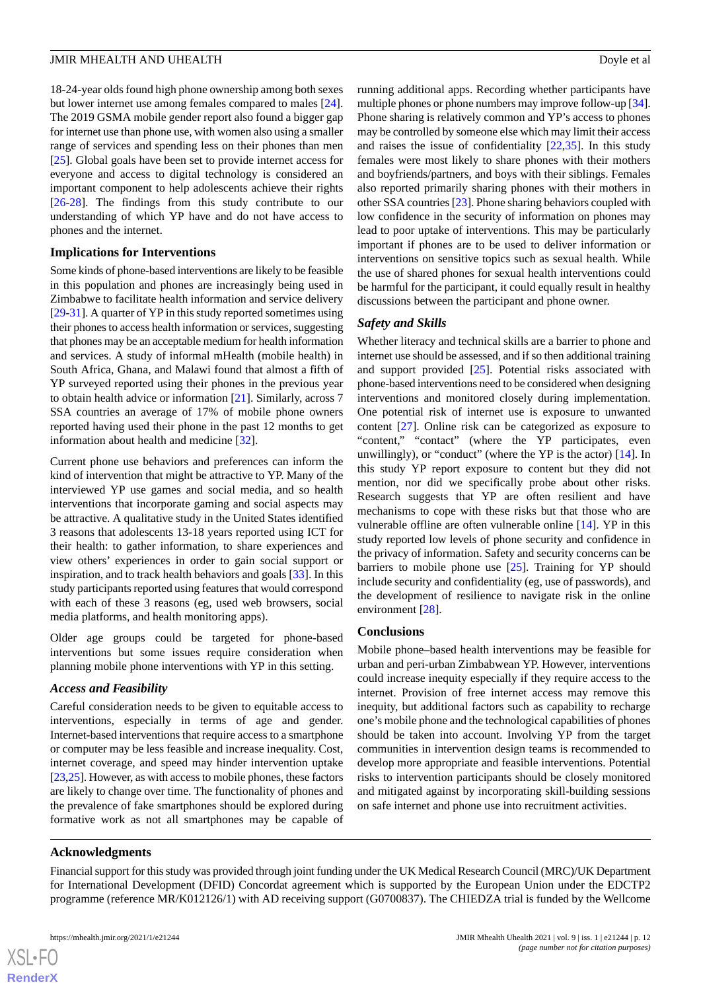18-24-year olds found high phone ownership among both sexes but lower internet use among females compared to males [[24\]](#page-14-0). The 2019 GSMA mobile gender report also found a bigger gap for internet use than phone use, with women also using a smaller range of services and spending less on their phones than men [[25\]](#page-14-1). Global goals have been set to provide internet access for everyone and access to digital technology is considered an important component to help adolescents achieve their rights [[26](#page-14-2)[-28](#page-14-3)]. The findings from this study contribute to our understanding of which YP have and do not have access to phones and the internet.

#### **Implications for Interventions**

Some kinds of phone-based interventions are likely to be feasible in this population and phones are increasingly being used in Zimbabwe to facilitate health information and service delivery [[29](#page-14-4)[-31](#page-14-5)]. A quarter of YP in this study reported sometimes using their phones to access health information or services, suggesting that phones may be an acceptable medium for health information and services. A study of informal mHealth (mobile health) in South Africa, Ghana, and Malawi found that almost a fifth of YP surveyed reported using their phones in the previous year to obtain health advice or information [\[21](#page-13-16)]. Similarly, across 7 SSA countries an average of 17% of mobile phone owners reported having used their phone in the past 12 months to get information about health and medicine [\[32](#page-14-6)].

Current phone use behaviors and preferences can inform the kind of intervention that might be attractive to YP. Many of the interviewed YP use games and social media, and so health interventions that incorporate gaming and social aspects may be attractive. A qualitative study in the United States identified 3 reasons that adolescents 13-18 years reported using ICT for their health: to gather information, to share experiences and view others' experiences in order to gain social support or inspiration, and to track health behaviors and goals [[33\]](#page-14-7). In this study participants reported using features that would correspond with each of these 3 reasons (eg, used web browsers, social media platforms, and health monitoring apps).

Older age groups could be targeted for phone-based interventions but some issues require consideration when planning mobile phone interventions with YP in this setting.

#### *Access and Feasibility*

Careful consideration needs to be given to equitable access to interventions, especially in terms of age and gender. Internet-based interventions that require access to a smartphone or computer may be less feasible and increase inequality. Cost, internet coverage, and speed may hinder intervention uptake [[23,](#page-13-19)[25\]](#page-14-1). However, as with access to mobile phones, these factors are likely to change over time. The functionality of phones and the prevalence of fake smartphones should be explored during formative work as not all smartphones may be capable of running additional apps. Recording whether participants have multiple phones or phone numbers may improve follow-up [\[34](#page-14-8)]. Phone sharing is relatively common and YP's access to phones may be controlled by someone else which may limit their access and raises the issue of confidentiality  $[22,35]$  $[22,35]$  $[22,35]$  $[22,35]$ . In this study females were most likely to share phones with their mothers and boyfriends/partners, and boys with their siblings. Females also reported primarily sharing phones with their mothers in other SSA countries [\[23\]](#page-13-19). Phone sharing behaviors coupled with low confidence in the security of information on phones may lead to poor uptake of interventions. This may be particularly important if phones are to be used to deliver information or interventions on sensitive topics such as sexual health. While the use of shared phones for sexual health interventions could be harmful for the participant, it could equally result in healthy discussions between the participant and phone owner.

#### *Safety and Skills*

Whether literacy and technical skills are a barrier to phone and internet use should be assessed, and if so then additional training and support provided [[25\]](#page-14-1). Potential risks associated with phone-based interventions need to be considered when designing interventions and monitored closely during implementation. One potential risk of internet use is exposure to unwanted content [\[27](#page-14-10)]. Online risk can be categorized as exposure to "content," "contact" (where the YP participates, even unwillingly), or "conduct" (where the YP is the actor) [\[14](#page-13-17)]. In this study YP report exposure to content but they did not mention, nor did we specifically probe about other risks. Research suggests that YP are often resilient and have mechanisms to cope with these risks but that those who are vulnerable offline are often vulnerable online [\[14](#page-13-17)]. YP in this study reported low levels of phone security and confidence in the privacy of information. Safety and security concerns can be barriers to mobile phone use  $[25]$  $[25]$ . Training for YP should include security and confidentiality (eg, use of passwords), and the development of resilience to navigate risk in the online environment [[28\]](#page-14-3).

#### **Conclusions**

Mobile phone–based health interventions may be feasible for urban and peri-urban Zimbabwean YP. However, interventions could increase inequity especially if they require access to the internet. Provision of free internet access may remove this inequity, but additional factors such as capability to recharge one's mobile phone and the technological capabilities of phones should be taken into account. Involving YP from the target communities in intervention design teams is recommended to develop more appropriate and feasible interventions. Potential risks to intervention participants should be closely monitored and mitigated against by incorporating skill-building sessions on safe internet and phone use into recruitment activities.

#### **Acknowledgments**

Financial support for this study was provided through joint funding under the UK Medical Research Council (MRC)/UK Department for International Development (DFID) Concordat agreement which is supported by the European Union under the EDCTP2 programme (reference MR/K012126/1) with AD receiving support (G0700837). The CHIEDZA trial is funded by the Wellcome

 $XS$  $\cdot$ FC **[RenderX](http://www.renderx.com/)**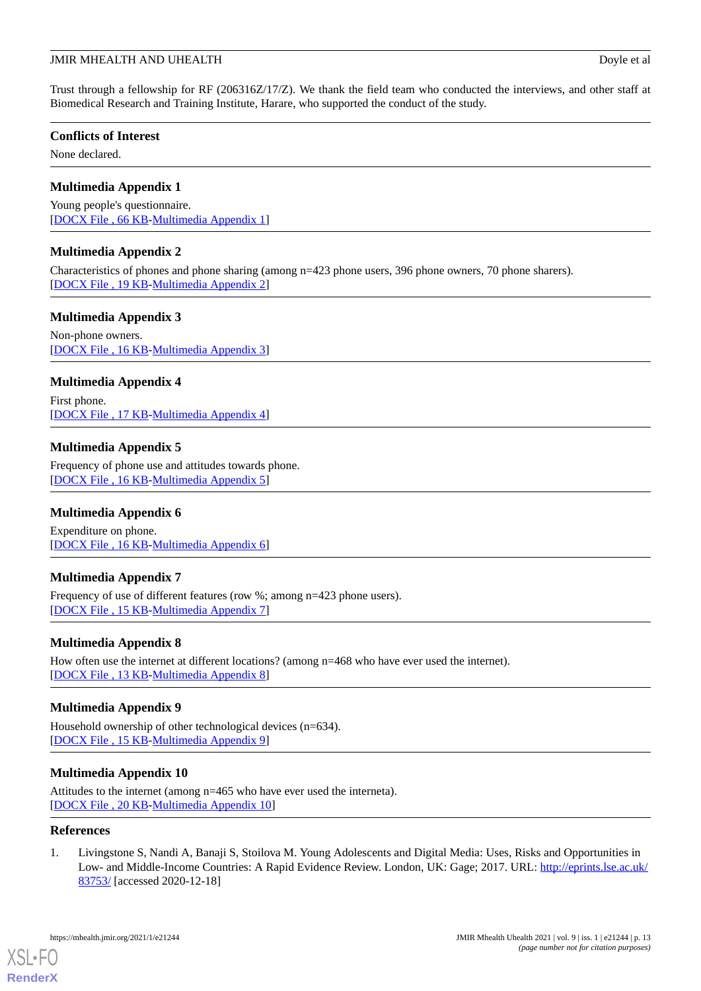Trust through a fellowship for RF (206316Z/17/Z). We thank the field team who conducted the interviews, and other staff at Biomedical Research and Training Institute, Harare, who supported the conduct of the study.

# **Conflicts of Interest**

<span id="page-12-1"></span>None declared.

# **Multimedia Appendix 1**

<span id="page-12-2"></span>Young people's questionnaire. [[DOCX File , 66 KB](https://jmir.org/api/download?alt_name=mhealth_v9i1e21244_app1.docx&filename=426d234736b9cc44692ad7ced4bbd67f.docx)-[Multimedia Appendix 1\]](https://jmir.org/api/download?alt_name=mhealth_v9i1e21244_app1.docx&filename=426d234736b9cc44692ad7ced4bbd67f.docx)

# **Multimedia Appendix 2**

<span id="page-12-3"></span>Characteristics of phones and phone sharing (among n=423 phone users, 396 phone owners, 70 phone sharers). [[DOCX File , 19 KB](https://jmir.org/api/download?alt_name=mhealth_v9i1e21244_app2.docx&filename=3d4b566b8c8563ba932e260f7632fdc9.docx)-[Multimedia Appendix 2\]](https://jmir.org/api/download?alt_name=mhealth_v9i1e21244_app2.docx&filename=3d4b566b8c8563ba932e260f7632fdc9.docx)

# **Multimedia Appendix 3**

<span id="page-12-4"></span>Non-phone owners. [[DOCX File , 16 KB](https://jmir.org/api/download?alt_name=mhealth_v9i1e21244_app3.docx&filename=57465d44ce2a75e0ba53b159a83a35d3.docx)-[Multimedia Appendix 3\]](https://jmir.org/api/download?alt_name=mhealth_v9i1e21244_app3.docx&filename=57465d44ce2a75e0ba53b159a83a35d3.docx)

# **Multimedia Appendix 4**

<span id="page-12-5"></span>First phone. [[DOCX File , 17 KB](https://jmir.org/api/download?alt_name=mhealth_v9i1e21244_app4.docx&filename=f3cec4cc03e8dac0f4aaf099e65f8571.docx)-[Multimedia Appendix 4\]](https://jmir.org/api/download?alt_name=mhealth_v9i1e21244_app4.docx&filename=f3cec4cc03e8dac0f4aaf099e65f8571.docx)

# **Multimedia Appendix 5**

<span id="page-12-6"></span>Frequency of phone use and attitudes towards phone. [[DOCX File , 16 KB](https://jmir.org/api/download?alt_name=mhealth_v9i1e21244_app5.docx&filename=45eb70ea23407947ebcd8de5eb40e83c.docx)-[Multimedia Appendix 5\]](https://jmir.org/api/download?alt_name=mhealth_v9i1e21244_app5.docx&filename=45eb70ea23407947ebcd8de5eb40e83c.docx)

# <span id="page-12-7"></span>**Multimedia Appendix 6**

Expenditure on phone. [[DOCX File , 16 KB](https://jmir.org/api/download?alt_name=mhealth_v9i1e21244_app6.docx&filename=dee6290fe0e8a3d843a32ed0c87fc9b1.docx)-[Multimedia Appendix 6\]](https://jmir.org/api/download?alt_name=mhealth_v9i1e21244_app6.docx&filename=dee6290fe0e8a3d843a32ed0c87fc9b1.docx)

# <span id="page-12-8"></span>**Multimedia Appendix 7**

Frequency of use of different features (row %; among n=423 phone users). [[DOCX File , 15 KB](https://jmir.org/api/download?alt_name=mhealth_v9i1e21244_app7.docx&filename=e6db56e50f258f1a109be76c44f95684.docx)-[Multimedia Appendix 7\]](https://jmir.org/api/download?alt_name=mhealth_v9i1e21244_app7.docx&filename=e6db56e50f258f1a109be76c44f95684.docx)

# <span id="page-12-9"></span>**Multimedia Appendix 8**

How often use the internet at different locations? (among n=468 who have ever used the internet). [[DOCX File , 13 KB](https://jmir.org/api/download?alt_name=mhealth_v9i1e21244_app8.docx&filename=3398faa5f0bb9b532359c98a958af2ea.docx)-[Multimedia Appendix 8\]](https://jmir.org/api/download?alt_name=mhealth_v9i1e21244_app8.docx&filename=3398faa5f0bb9b532359c98a958af2ea.docx)

# <span id="page-12-10"></span>**Multimedia Appendix 9**

Household ownership of other technological devices (n=634). [[DOCX File , 15 KB](https://jmir.org/api/download?alt_name=mhealth_v9i1e21244_app9.docx&filename=a8eb75a21e8adecab09c80253b34a9a0.docx)-[Multimedia Appendix 9\]](https://jmir.org/api/download?alt_name=mhealth_v9i1e21244_app9.docx&filename=a8eb75a21e8adecab09c80253b34a9a0.docx)

# <span id="page-12-0"></span>**Multimedia Appendix 10**

Attitudes to the internet (among n=465 who have ever used the interneta). [[DOCX File , 20 KB](https://jmir.org/api/download?alt_name=mhealth_v9i1e21244_app10.docx&filename=a6effaa202c2bd0be3c958e73fb9ac3f.docx)-[Multimedia Appendix 10\]](https://jmir.org/api/download?alt_name=mhealth_v9i1e21244_app10.docx&filename=a6effaa202c2bd0be3c958e73fb9ac3f.docx)

# **References**

1. Livingstone S, Nandi A, Banaji S, Stoilova M. Young Adolescents and Digital Media: Uses, Risks and Opportunities in Low- and Middle-Income Countries: A Rapid Evidence Review. London, UK: Gage; 2017. URL: [http://eprints.lse.ac.uk/](http://eprints.lse.ac.uk/83753/) [83753/](http://eprints.lse.ac.uk/83753/) [accessed 2020-12-18]

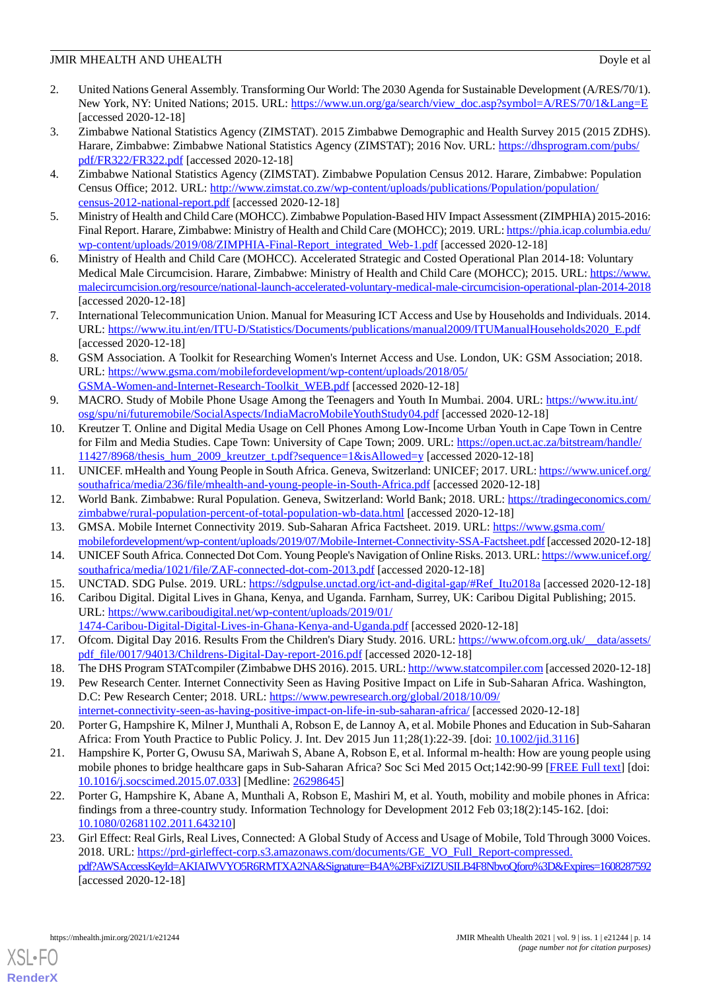- <span id="page-13-0"></span>2. United Nations General Assembly. Transforming Our World: The 2030 Agenda for Sustainable Development (A/RES/70/1). New York, NY: United Nations; 2015. URL: [https://www.un.org/ga/search/view\\_doc.asp?symbol=A/RES/70/1&Lang=E](https://www.un.org/ga/search/view_doc.asp?symbol=A/RES/70/1&Lang=E) [accessed 2020-12-18]
- <span id="page-13-1"></span>3. Zimbabwe National Statistics Agency (ZIMSTAT). 2015 Zimbabwe Demographic and Health Survey 2015 (2015 ZDHS). Harare, Zimbabwe: Zimbabwe National Statistics Agency (ZIMSTAT); 2016 Nov. URL: [https://dhsprogram.com/pubs/](https://dhsprogram.com/pubs/pdf/FR322/FR322.pdf) [pdf/FR322/FR322.pdf](https://dhsprogram.com/pubs/pdf/FR322/FR322.pdf) [accessed 2020-12-18]
- <span id="page-13-2"></span>4. Zimbabwe National Statistics Agency (ZIMSTAT). Zimbabwe Population Census 2012. Harare, Zimbabwe: Population Census Office; 2012. URL: [http://www.zimstat.co.zw/wp-content/uploads/publications/Population/population/](http://www.zimstat.co.zw/wp-content/uploads/publications/Population/population/census-2012-national-report.pdf) [census-2012-national-report.pdf](http://www.zimstat.co.zw/wp-content/uploads/publications/Population/population/census-2012-national-report.pdf) [accessed 2020-12-18]
- <span id="page-13-4"></span><span id="page-13-3"></span>5. Ministry of Health and Child Care (MOHCC). Zimbabwe Population-Based HIV Impact Assessment (ZIMPHIA) 2015-2016: Final Report. Harare, Zimbabwe: Ministry of Health and Child Care (MOHCC); 2019. URL: [https://phia.icap.columbia.edu/](https://phia.icap.columbia.edu/wp-content/uploads/2019/08/ZIMPHIA-Final-Report_integrated_Web-1.pdf) [wp-content/uploads/2019/08/ZIMPHIA-Final-Report\\_integrated\\_Web-1.pdf](https://phia.icap.columbia.edu/wp-content/uploads/2019/08/ZIMPHIA-Final-Report_integrated_Web-1.pdf) [accessed 2020-12-18]
- <span id="page-13-5"></span>6. Ministry of Health and Child Care (MOHCC). Accelerated Strategic and Costed Operational Plan 2014-18: Voluntary Medical Male Circumcision. Harare, Zimbabwe: Ministry of Health and Child Care (MOHCC); 2015. URL: [https://www.](https://www.malecircumcision.org/resource/national-launch-accelerated-voluntary-medical-male-circumcision-operational-plan-2014-2018) [malecircumcision.org/resource/national-launch-accelerated-voluntary-medical-male-circumcision-operational-plan-2014-2018](https://www.malecircumcision.org/resource/national-launch-accelerated-voluntary-medical-male-circumcision-operational-plan-2014-2018) [accessed 2020-12-18]
- <span id="page-13-6"></span>7. International Telecommunication Union. Manual for Measuring ICT Access and Use by Households and Individuals. 2014. URL: [https://www.itu.int/en/ITU-D/Statistics/Documents/publications/manual2009/ITUManualHouseholds2020\\_E.pdf](https://www.itu.int/en/ITU-D/Statistics/Documents/publications/manual2009/ITUManualHouseholds2020_E.pdf) [accessed 2020-12-18]
- 8. GSM Association. A Toolkit for Researching Women's Internet Access and Use. London, UK: GSM Association; 2018. URL: [https://www.gsma.com/mobilefordevelopment/wp-content/uploads/2018/05/](https://www.gsma.com/mobilefordevelopment/wp-content/uploads/2018/05/GSMA-Women-and-Internet-Research-Toolkit_WEB.pdf) [GSMA-Women-and-Internet-Research-Toolkit\\_WEB.pdf](https://www.gsma.com/mobilefordevelopment/wp-content/uploads/2018/05/GSMA-Women-and-Internet-Research-Toolkit_WEB.pdf) [accessed 2020-12-18]
- 9. MACRO. Study of Mobile Phone Usage Among the Teenagers and Youth In Mumbai. 2004. URL: [https://www.itu.int/](https://www.itu.int/osg/spu/ni/futuremobile/SocialAspects/IndiaMacroMobileYouthStudy04.pdf) [osg/spu/ni/futuremobile/SocialAspects/IndiaMacroMobileYouthStudy04.pdf](https://www.itu.int/osg/spu/ni/futuremobile/SocialAspects/IndiaMacroMobileYouthStudy04.pdf) [accessed 2020-12-18]
- <span id="page-13-7"></span>10. Kreutzer T. Online and Digital Media Usage on Cell Phones Among Low-Income Urban Youth in Cape Town in Centre for Film and Media Studies. Cape Town: University of Cape Town; 2009. URL: [https://open.uct.ac.za/bitstream/handle/](https://open.uct.ac.za/bitstream/handle/11427/8968/thesis_hum_2009_kreutzer_t.pdf?sequence=1&isAllowed=y) [11427/8968/thesis\\_hum\\_2009\\_kreutzer\\_t.pdf?sequence=1&isAllowed=y](https://open.uct.ac.za/bitstream/handle/11427/8968/thesis_hum_2009_kreutzer_t.pdf?sequence=1&isAllowed=y) [accessed 2020-12-18]
- <span id="page-13-9"></span><span id="page-13-8"></span>11. UNICEF. mHealth and Young People in South Africa. Geneva, Switzerland: UNICEF; 2017. URL: [https://www.unicef.org/](https://www.unicef.org/southafrica/media/236/file/mhealth-and-young-people-in-South-Africa.pdf) [southafrica/media/236/file/mhealth-and-young-people-in-South-Africa.pdf](https://www.unicef.org/southafrica/media/236/file/mhealth-and-young-people-in-South-Africa.pdf) [accessed 2020-12-18]
- <span id="page-13-17"></span>12. World Bank. Zimbabwe: Rural Population. Geneva, Switzerland: World Bank; 2018. URL: [https://tradingeconomics.com/](https://tradingeconomics.com/zimbabwe/rural-population-percent-of-total-population-wb-data.html) [zimbabwe/rural-population-percent-of-total-population-wb-data.html](https://tradingeconomics.com/zimbabwe/rural-population-percent-of-total-population-wb-data.html) [accessed 2020-12-18]
- <span id="page-13-11"></span><span id="page-13-10"></span>13. GMSA. Mobile Internet Connectivity 2019. Sub-Saharan Africa Factsheet. 2019. URL: [https://www.gsma.com/](https://www.gsma.com/mobilefordevelopment/wp-content/uploads/2019/07/Mobile-Internet-Connectivity-SSA-Factsheet.pdf) [mobilefordevelopment/wp-content/uploads/2019/07/Mobile-Internet-Connectivity-SSA-Factsheet.pdf](https://www.gsma.com/mobilefordevelopment/wp-content/uploads/2019/07/Mobile-Internet-Connectivity-SSA-Factsheet.pdf) [accessed 2020-12-18]
- 14. UNICEF South Africa. Connected Dot Com. Young People's Navigation of Online Risks. 2013. URL: [https://www.unicef.org/](https://www.unicef.org/southafrica/media/1021/file/ZAF-connected-dot-com-2013.pdf) [southafrica/media/1021/file/ZAF-connected-dot-com-2013.pdf](https://www.unicef.org/southafrica/media/1021/file/ZAF-connected-dot-com-2013.pdf) [accessed 2020-12-18]
- <span id="page-13-12"></span>15. UNCTAD. SDG Pulse. 2019. URL: [https://sdgpulse.unctad.org/ict-and-digital-gap/#Ref\\_Itu2018a](https://sdgpulse.unctad.org/ict-and-digital-gap/#Ref_Itu2018a) [accessed 2020-12-18]
- <span id="page-13-14"></span><span id="page-13-13"></span>16. Caribou Digital. Digital Lives in Ghana, Kenya, and Uganda. Farnham, Surrey, UK: Caribou Digital Publishing; 2015. URL: [https://www.cariboudigital.net/wp-content/uploads/2019/01/](https://www.cariboudigital.net/wp-content/uploads/2019/01/1474-Caribou-Digital-Digital-Lives-in-Ghana-Kenya-and-Uganda.pdf) [1474-Caribou-Digital-Digital-Lives-in-Ghana-Kenya-and-Uganda.pdf](https://www.cariboudigital.net/wp-content/uploads/2019/01/1474-Caribou-Digital-Digital-Lives-in-Ghana-Kenya-and-Uganda.pdf) [accessed 2020-12-18]
- 17. Ofcom. Digital Day 2016. Results From the Children's Diary Study. 2016. URL: [https://www.ofcom.org.uk/\\_\\_data/assets/](https://www.ofcom.org.uk/__data/assets/pdf_file/0017/94013/Childrens-Digital-Day-report-2016.pdf) [pdf\\_file/0017/94013/Childrens-Digital-Day-report-2016.pdf](https://www.ofcom.org.uk/__data/assets/pdf_file/0017/94013/Childrens-Digital-Day-report-2016.pdf) [accessed 2020-12-18]
- <span id="page-13-15"></span>18. The DHS Program STATcompiler (Zimbabwe DHS 2016). 2015. URL:<http://www.statcompiler.com> [accessed 2020-12-18]
- <span id="page-13-16"></span>19. Pew Research Center. Internet Connectivity Seen as Having Positive Impact on Life in Sub-Saharan Africa. Washington, D.C: Pew Research Center; 2018. URL: [https://www.pewresearch.org/global/2018/10/09/](https://www.pewresearch.org/global/2018/10/09/internet-connectivity-seen-as-having-positive-impact-on-life-in-sub-saharan-africa/) [internet-connectivity-seen-as-having-positive-impact-on-life-in-sub-saharan-africa/](https://www.pewresearch.org/global/2018/10/09/internet-connectivity-seen-as-having-positive-impact-on-life-in-sub-saharan-africa/) [accessed 2020-12-18]
- <span id="page-13-18"></span>20. Porter G, Hampshire K, Milner J, Munthali A, Robson E, de Lannoy A, et al. Mobile Phones and Education in Sub-Saharan Africa: From Youth Practice to Public Policy. J. Int. Dev 2015 Jun 11;28(1):22-39. [doi: [10.1002/jid.3116\]](http://dx.doi.org/10.1002/jid.3116)
- <span id="page-13-19"></span>21. Hampshire K, Porter G, Owusu SA, Mariwah S, Abane A, Robson E, et al. Informal m-health: How are young people using mobile phones to bridge healthcare gaps in Sub-Saharan Africa? Soc Sci Med 2015 Oct;142:90-99 [[FREE Full text](https://linkinghub.elsevier.com/retrieve/pii/S0277-9536(15)30049-6)] [doi: [10.1016/j.socscimed.2015.07.033](http://dx.doi.org/10.1016/j.socscimed.2015.07.033)] [Medline: [26298645](http://www.ncbi.nlm.nih.gov/entrez/query.fcgi?cmd=Retrieve&db=PubMed&list_uids=26298645&dopt=Abstract)]
- 22. Porter G, Hampshire K, Abane A, Munthali A, Robson E, Mashiri M, et al. Youth, mobility and mobile phones in Africa: findings from a three-country study. Information Technology for Development 2012 Feb 03;18(2):145-162. [doi: [10.1080/02681102.2011.643210\]](http://dx.doi.org/10.1080/02681102.2011.643210)
- 23. Girl Effect: Real Girls, Real Lives, Connected: A Global Study of Access and Usage of Mobile, Told Through 3000 Voices. 2018. URL: [https://prd-girleffect-corp.s3.amazonaws.com/documents/GE\\_VO\\_Full\\_Report-compressed.](https://prd-girleffect-corp.s3.amazonaws.com/documents/GE_VO_Full_Report-compressed.pdf?AWSAccessKeyId=AKIAIWVYO5R6RMTXA2NA&Signature=B4A%2BFxiZIZUSILB4F8NbvoQforo%3D&Expires=1608287592) [pdf?AWSAccessKeyId=AKIAIWVYO5R6RMTXA2NA&Signature=B4A%2BFxiZIZUSILB4F8NbvoQforo%3D&Expires=1608287592](https://prd-girleffect-corp.s3.amazonaws.com/documents/GE_VO_Full_Report-compressed.pdf?AWSAccessKeyId=AKIAIWVYO5R6RMTXA2NA&Signature=B4A%2BFxiZIZUSILB4F8NbvoQforo%3D&Expires=1608287592) [accessed 2020-12-18]